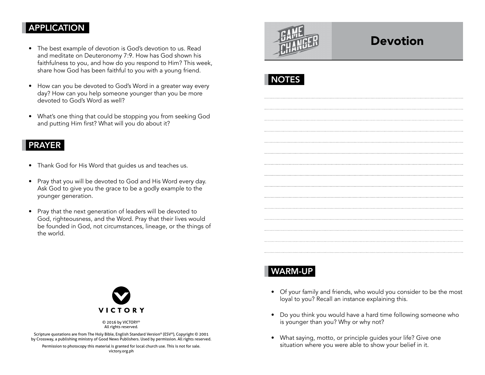## APPLICATION

- The best example of devotion is God's devotion to us. Read and meditate on Deuteronomy 7:9. How has God shown his faithfulness to you, and how do you respond to Him? This week, share how God has been faithful to you with a young friend.
- How can you be devoted to God's Word in a greater way every day? How can you help someone younger than you be more devoted to God's Word as well?
- What's one thing that could be stopping you from seeking God and putting Him first? What will you do about it?

### PRAYER

- Thank God for His Word that guides us and teaches us.
- Pray that you will be devoted to God and His Word every day. Ask God to give you the grace to be a godly example to the younger generation.
- Pray that the next generation of leaders will be devoted to God, righteousness, and the Word. Pray that their lives would be founded in God, not circumstances, lineage, or the things of the world.



© 2016 by VICTORY® All rights reserved.

Scripture quotations are from The Holy Bible, English Standard Version® (ESV®), Copyright © 2001 by Crossway, a publishing ministry of Good News Publishers. Used by permission. All rights reserved.

Permission to photocopy this material is granted for local church use. This is not for sale. victory.org.ph



# **Devotion**

|--|

# WARM-UP

- Of your family and friends, who would you consider to be the most loyal to you? Recall an instance explaining this.
- Do you think you would have a hard time following someone who is younger than you? Why or why not?
- What saying, motto, or principle guides your life? Give one situation where you were able to show your belief in it.